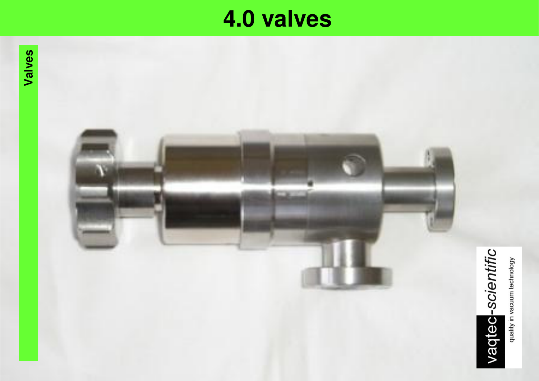# **4.0 4.0 valves**

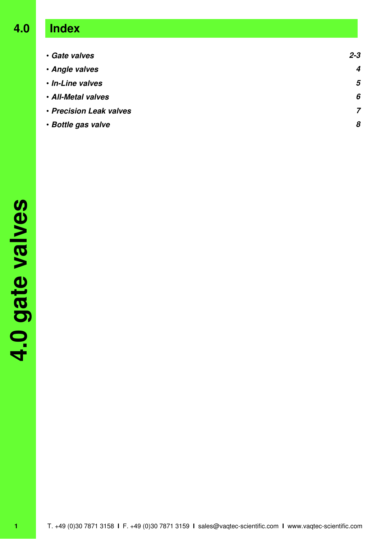# **4.0 Index**

| · Gate valves           | $2 - 3$ |
|-------------------------|---------|
| · Angle valves          | 4       |
| · In-Line valves        | 5       |
| · All-Metal valves      | 6       |
| • Precision Leak valves | 7       |
| • Bottle gas valve      | 8       |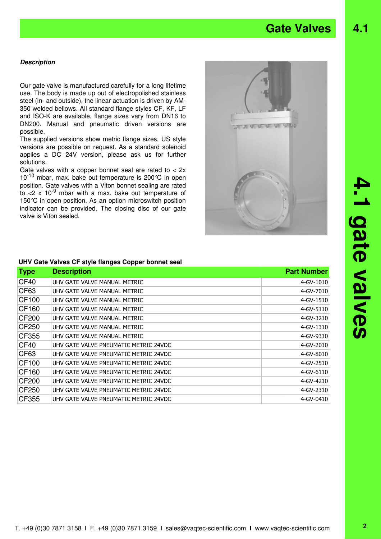# Gate Valves 4.1

### **Description**

Our gate valve is manufactured carefully for a long lifetime use. The body is made up out of electropolished stainless steel (in- and outside), the linear actuation is driven by AM-350 welded bellows. All standard flange styles CF, KF, LF and ISO-K are available, flange sizes vary from DN16 to DN200. Manual and pneumatic driven versions are possible.

The supplied versions show metric flange sizes, US style versions are possible on request. As a standard solenoid applies a DC 24V version, please ask us for further solutions.

Gate valves with a copper bonnet seal are rated to < 2x  $10^{-10}$  mbar, max. bake out temperature is 200 °C in open position. Gate valves with a Viton bonnet sealing are rated to  $\langle 2 \times 10^{-9}$  mbar with a max. bake out temperature of 150°C in open position. As an option microswitch position indicator can be provided. The closing disc of our gate valve is Viton sealed.



# **UHV Gate Valves CF style flanges Copper bonnet seal**

| <b>Type</b>  | <b>Description</b>                    | <b>Part Number</b> |
|--------------|---------------------------------------|--------------------|
| CF40         | UHV GATE VALVE MANUAL METRIC          | 4-GV-1010          |
| CF63         | UHV GATE VALVE MANUAL METRIC          | 4-GV-7010          |
| CF100        | UHV GATE VALVE MANUAL METRIC          | 4-GV-1510          |
| CF160        | UHV GATE VALVE MANUAL METRIC          | 4-GV-5110          |
| <b>CF200</b> | UHV GATE VALVE MANUAL METRIC          | 4-GV-3210          |
| CF250        | UHV GATE VALVE MANUAL METRIC          | 4-GV-1310          |
| CF355        | UHV GATE VALVE MANUAL METRIC          | 4-GV-9310          |
| CF40         | UHV GATE VALVE PNEUMATIC METRIC 24VDC | 4-GV-2010          |
| CF63         | UHV GATE VALVE PNEUMATIC METRIC 24VDC | 4-GV-8010          |
| CF100        | UHV GATE VALVE PNEUMATIC METRIC 24VDC | 4-GV-2510          |
| CF160        | UHV GATE VALVE PNEUMATIC METRIC 24VDC | 4-GV-6110          |
| <b>CF200</b> | UHV GATE VALVE PNEUMATIC METRIC 24VDC | 4-GV-4210          |
| CF250        | UHV GATE VALVE PNEUMATIC METRIC 24VDC | 4-GV-2310          |
| CF355        | UHV GATE VALVE PNEUMATIC METRIC 24VDC | 4-GV-0410          |

# **4.1 gate valves** 1.1 gate valves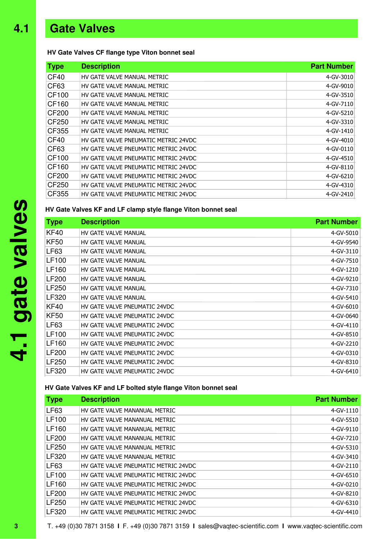# **4.1 Gate Valves**

### **HV Gate Valves CF flange type Viton bonnet seal**

| <b>Type</b>  | <b>Description</b>                   | <b>Part Number</b> |
|--------------|--------------------------------------|--------------------|
| CF40         | HV GATE VALVE MANUAL METRIC          | 4-GV-3010          |
| CF63         | HV GATE VALVE MANUAL METRIC          | 4-GV-9010          |
| CF100        | HV GATE VALVE MANUAL METRIC          | 4-GV-3510          |
| CF160        | HV GATE VALVE MANUAL METRIC          | 4-GV-7110          |
| <b>CF200</b> | HV GATE VALVE MANUAL METRIC          | 4-GV-5210          |
| CF250        | HV GATE VALVE MANUAL METRIC          | 4-GV-3310          |
| CF355        | HV GATE VALVE MANUAL METRIC          | 4-GV-1410          |
| CF40         | HV GATE VALVE PNEUMATIC METRIC 24VDC | 4-GV-4010          |
| CF63         | HV GATE VALVE PNEUMATIC METRIC 24VDC | 4-GV-0110          |
| CF100        | HV GATE VALVE PNEUMATIC METRIC 24VDC | 4-GV-4510          |
| CF160        | HV GATE VALVE PNEUMATIC METRIC 24VDC | 4-GV-8110          |
| CF200        | HV GATE VALVE PNEUMATIC METRIC 24VDC | 4-GV-6210          |
| CF250        | HV GATE VALVE PNEUMATIC METRIC 24VDC | 4-GV-4310          |
| CF355        | HV GATE VALVE PNEUMATIC METRIC 24VDC | 4-GV-2410          |

### **HV Gate Valves KF and LF clamp style flange Viton bonnet seal**

| <b>Type</b>  | <b>Description</b>            | <b>Part Number</b> |
|--------------|-------------------------------|--------------------|
| <b>KF40</b>  | HV GATE VALVE MANUAL          | 4-GV-5010          |
| <b>KF50</b>  | HV GATE VALVE MANUAL          | 4-GV-9540          |
| LF63         | HV GATE VALVE MANUAL          | 4-GV-3110          |
| LF100        | HV GATE VALVE MANUAL          | 4-GV-7510          |
| LF160        | HV GATE VALVE MANUAL          | 4-GV-1210          |
| <b>LF200</b> | HV GATE VALVE MANUAL          | 4-GV-9210          |
| LF250        | HV GATE VALVE MANUAL          | 4-GV-7310          |
| LF320        | HV GATE VALVE MANUAL          | 4-GV-5410          |
| <b>KF40</b>  | HV GATE VALVE PNEUMATIC 24VDC | 4-GV-6010          |
| <b>KF50</b>  | HV GATE VALVE PNEUMATIC 24VDC | 4-GV-0640          |
| LF63         | HV GATE VALVE PNEUMATIC 24VDC | 4-GV-4110          |
| LF100        | HV GATE VALVE PNEUMATIC 24VDC | 4-GV-8510          |
| LF160        | HV GATE VALVE PNEUMATIC 24VDC | 4-GV-2210          |
| LF200        | HV GATE VALVE PNEUMATIC 24VDC | 4-GV-0310          |
| LF250        | HV GATE VALVE PNEUMATIC 24VDC | 4-GV-8310          |
| LF320        | HV GATE VALVE PNEUMATIC 24VDC | 4-GV-6410          |

### **HV Gate Valves KF and LF bolted style flange Viton bonnet seal**

| <b>Type</b>  | <b>Description</b>                   | <b>Part Number</b> |
|--------------|--------------------------------------|--------------------|
| <b>LF63</b>  | HV GATE VALVE MANANUAL METRIC        | 4-GV-1110          |
| LF100        | HV GATE VALVE MANANUAL METRIC        | 4-GV-5510          |
| LF160        | HV GATE VALVE MANANUAL METRIC        | 4-GV-9110          |
| <b>LF200</b> | HV GATE VALVE MANANUAL METRIC        | 4-GV-7210          |
| LF250        | HV GATE VALVE MANANUAL METRIC        | 4-GV-5310          |
| LF320        | HV GATE VALVE MANANUAL METRIC        | 4-GV-3410          |
| LF63         | HV GATE VALVE PNEUMATIC METRIC 24VDC | 4-GV-2110          |
| LF100        | HV GATE VALVE PNEUMATIC METRIC 24VDC | 4-GV-6510          |
| LF160        | HV GATE VALVE PNEUMATIC METRIC 24VDC | 4-GV-0210          |
| LF200        | HV GATE VALVE PNEUMATIC METRIC 24VDC | 4-GV-8210          |
| LF250        | HV GATE VALVE PNEUMATIC METRIC 24VDC | 4-GV-6310          |
| LF320        | HV GATE VALVE PNEUMATIC METRIC 24VDC | 4-GV-4410          |

T. +49 (0)30 7871 3158 **I** F. +49 (0)30 7871 3159 **I** sales@vaqtec-scientific.com **I** www.vaqtec-scientific.com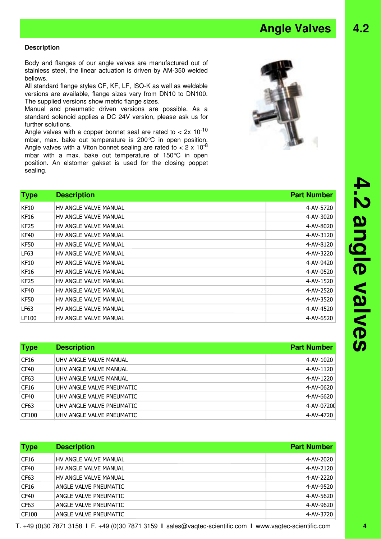T. +49 (0)30 7871 3158 **I** F. +49 (0)30 7871 3159 **I** sales@vaqtec-scientific.com **I** www.vaqtec-scientific.com **4**

### **Description**

Body and flanges of our angle valves are manufactured out of stainless steel, the linear actuation is driven by AM-350 welded bellows.

All standard flange styles CF, KF, LF, ISO-K as well as weldable versions are available, flange sizes vary from DN10 to DN100. The supplied versions show metric flange sizes.

Manual and pneumatic driven versions are possible. As a standard solenoid applies a DC 24V version, please ask us for further solutions.

Angle valves with a copper bonnet seal are rated to  $<$  2x 10<sup>-10</sup> mbar, max. bake out temperature is 200°C in open position. Angle valves with a Viton bonnet sealing are rated to  $< 2 \times 10^{-8}$ mbar with a max. bake out temperature of 150°C in open position. An elstomer gakset is used for the closing poppet sealing.

| <b>Type</b> | <b>Description</b>    | <b>Part Number</b> |
|-------------|-----------------------|--------------------|
| <b>KF10</b> | HV ANGLE VALVE MANUAL | 4-AV-5720          |
| <b>KF16</b> | HV ANGLE VALVE MANUAL | 4-AV-3020          |
| KF25        | HV ANGLE VALVE MANUAL | 4-AV-8020          |
| <b>KF40</b> | HV ANGLE VALVE MANUAL | 4-AV-3120          |
| <b>KF50</b> | HV ANGLE VALVE MANUAL | 4-AV-8120          |
| LF63        | HV ANGLE VALVE MANUAL | 4-AV-3220          |
| <b>KF10</b> | HV ANGLE VALVE MANUAL | 4-AV-9420          |
| <b>KF16</b> | HV ANGLE VALVE MANUAL | 4-AV-0520          |
| <b>KF25</b> | HV ANGLE VALVE MANUAL | 4-AV-1520          |
| <b>KF40</b> | HV ANGLE VALVE MANUAL | 4-AV-2520          |
| <b>KF50</b> | HV ANGLE VALVE MANUAL | 4-AV-3520          |
| LF63        | HV ANGLE VALVE MANUAL | 4-AV-4520          |
| LF100       | HV ANGLE VALVE MANUAL | 4-AV-6520          |

| <b>Type</b> | <b>Description</b>        | <b>Part Number</b> |
|-------------|---------------------------|--------------------|
| CF16        | UHV ANGLE VALVE MANUAL    | 4-AV-1020          |
| CF40        | UHV ANGLE VALVE MANUAL    | 4-AV-1120          |
| CF63        | UHV ANGLE VALVE MANUAL    | 4-AV-1220          |
| CF16        | UHV ANGLE VALVE PNEUMATIC | 4-AV-0620          |
| CF40        | UHV ANGLE VALVE PNEUMATIC | 4-AV-6620          |
| CF63        | UHV ANGLE VALVE PNEUMATIC | 4-AV-07200         |
| CF100       | UHV ANGLE VALVE PNEUMATIC | 4-AV-4720          |

| <b>Type</b>      | <b>Description</b>    | <b>Part Number</b> |
|------------------|-----------------------|--------------------|
| CF16             | HV ANGLE VALVE MANUAL | 4-AV-2020          |
| CF <sub>40</sub> | HV ANGLE VALVE MANUAL | 4-AV-2120          |
| CF63             | HV ANGLE VALVE MANUAL | 4-AV-2220          |
| CF16             | ANGLE VALVE PNEUMATIC | 4-AV-9520          |
| CF <sub>40</sub> | ANGLE VALVE PNEUMATIC | 4-AV-5620          |
| CF63             | ANGLE VALVE PNEUMATIC | 4-AV-9620          |
| CF100            | ANGLE VALVE PNEUMATIC | 4-AV-3720          |

**4.2 angle valves**

4.2 angle valves

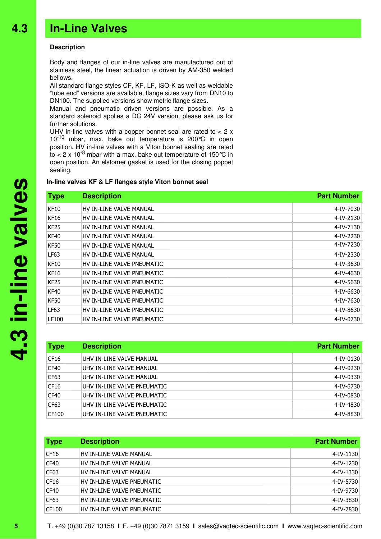### **Description**

Body and flanges of our in-line valves are manufactured out of stainless steel, the linear actuation is driven by AM-350 welded bellows.

All standard flange styles CF, KF, LF, ISO-K as well as weldable "tube end" versions are available, flange sizes vary from DN10 to DN100. The supplied versions show metric flange sizes.

Manual and pneumatic driven versions are possible. As a standard solenoid applies a DC 24V version, please ask us for further solutions.

UHV in-line valves with a copper bonnet seal are rated to < 2 x  $10^{-10}$  mbar, max. bake out temperature is 200 $\degree$ C in open position. HV in-line valves with a Viton bonnet sealing are rated to  $<$  2 x 10<sup>-8</sup> mbar with a max. bake out temperature of 150 °C in open position. An elstomer gasket is used for the closing poppet sealing.

### **In-line valves KF & LF flanges style Viton bonnet seal**

## **Type Description Part Number** KF10 HV IN-LINE VALVE MANUAL **Alternative State of the Contract Act 1** (1993) 4-IV-7030 KF16 HV IN-LINE VALVE MANUAL **Alternative Struck and Alternative Alternative Alternative Alternative Alternative A** KF25 HV IN-LINE VALVE MANUAL **Alternative Struck and Alternative Alternative Alternative Alternative Alternative A** KF40 HV IN-LINE VALVE MANUAL NOW THE SERVICE OF THE SERVICE OF THE SERVICE OF THE SERVICE OF THE SERVICE OF TH KF50 HV IN-LINE VALVE MANUAL **AUSTRALISH SERVIS ASSESSED ASSESS** LF63 HV IN-LINE VALVE MANUAL 4-IV-2330 KF10 HV IN-LINE VALVE PNEUMATIC 4-IV-3630 KF16 HV IN-LINE VALVE PNEUMATIC 4-IV-4630 KF25 HV IN-LINE VALVE PNEUMATIC 4-IV-5630 KF40 HV IN-LINE VALVE PNEUMATIC 4-IV-6630 KF50 HV IN-LINE VALVE PNEUMATIC 4-IV-7630 LF63 HV IN-LINE VALVE PNEUMATIC **And All and All and All and All and All and All and All and All and All and All and All and All and All and All and All and All and All and All and All and All and All and All and All and A** LF100 HV IN-LINE VALVE PNEUMATIC 4-IV-0730

| <b>Type</b>      | <b>Description</b>          | <b>Part Number</b> |
|------------------|-----------------------------|--------------------|
| CF16             | UHV IN-LINE VALVE MANUAL    | 4-IV-0130          |
| CF <sub>40</sub> | UHV IN-LINE VALVE MANUAL    | 4-IV-0230          |
| CF63             | UHV IN-LINE VALVE MANUAL    | 4-IV-0330          |
| CF <sub>16</sub> | UHV IN-LINE VALVE PNEUMATIC | 4-IV-6730          |
| CF <sub>40</sub> | UHV IN-LINE VALVE PNEUMATIC | 4-IV-0830          |
| CF63             | UHV IN-LINE VALVE PNEUMATIC | 4-IV-4830          |
| CF100            | UHV IN-LINE VALVE PNEUMATIC | 4-IV-8830          |

| <b>Type</b> | <b>Description</b>         | <b>Part Number</b> |
|-------------|----------------------------|--------------------|
| CF16        | HV IN-LINE VALVE MANUAL    | 4-IV-1130          |
| CF40        | HV IN-LINE VALVE MANUAL    | 4-IV-1230          |
| CF63        | HV IN-LINE VALVE MANUAL    | 4-IV-1330          |
| CF16        | HV IN-LINE VALVE PNEUMATIC | 4-IV-5730          |
| CF40        | HV IN-LINE VALVE PNEUMATIC | 4-IV-9730          |
| CF63        | HV IN-LINE VALVE PNEUMATIC | 4-IV-3830          |
| CF100       | HV IN-LINE VALVE PNEUMATIC | 4-IV-7830          |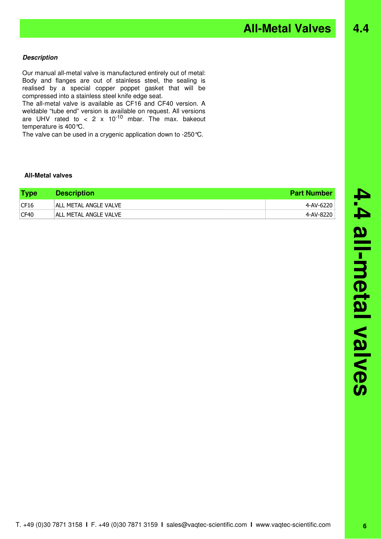**All-Metal Valves 4.4** 

### **Description**

Our manual all-metal valve is manufactured entirely out of metal: Body and flanges are out of stainless steel, the sealing is realised by a special copper poppet gasket that will be compressed into a stainless steel knife edge seat.

The all-metal valve is available as CF16 and CF40 version. A weldable "tube end" version is available on request. All versions are UHV rated to < 2 x 10<sup>-10</sup> mbar. The max. bakeout temperature is 400°C.

The valve can be used in a crygenic application down to -250°C.

### **All-Metal valves**

| <b>Type</b> | <b>Description</b>    | <b>Part Number</b> |
|-------------|-----------------------|--------------------|
| CF16        | ALL METAL ANGLE VALVE | 4-AV-6220          |
| CF40        | ALL METAL ANGLE VALVE | 4-AV-8220          |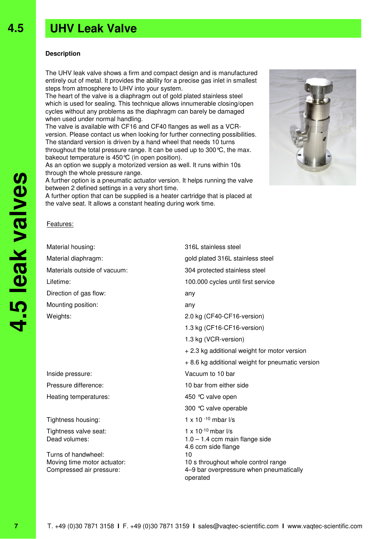# **UHV Leak Valve**

### **Description**

**4.5**

The UHV leak valve shows a firm and compact design and is manufactured entirely out of metal. It provides the ability for a precise gas inlet in smallest steps from atmosphere to UHV into your system.

The heart of the valve is a diaphragm out of gold plated stainless steel which is used for sealing. This technique allows innumerable closing/open cycles without any problems as the diaphragm can barely be damaged when used under normal handling.

The valve is available with CF16 and CF40 flanges as well as a VCRversion. Please contact us when looking for further connecting possibilities. The standard version is driven by a hand wheel that needs 10 turns throughout the total pressure range. It can be used up to 300°C, the max. bakeout temperature is 450°C (in open position).

As an option we supply a motorized version as well. It runs within 10s through the whole pressure range.

A further option is a pneumatic actuator version. It helps running the valve between 2 defined settings in a very short time.

A further option that can be supplied is a heater cartridge that is placed at the valve seat. It allows a constant heating during work time.

### Features:

Material housing: **316L** stainless steel Material diaphragm: example and the state of gold plated 316L stainless steel Materials outside of vacuum: 304 protected stainless steel Lifetime: 100.000 cycles until first service Direction of gas flow: any Mounting position: any Weights: 2.0 kg (CF40-CF16-version) 1.3 kg (CF16-CF16-version) 1.3 kg (VCR-version) + 2.3 kg additional weight for motor version + 8.6 kg additional weight for pneumatic version Inside pressure: Vacuum to 10 bar Pressure difference: 10 bar from either side Heating temperatures: 450 °C valve open 300 °C valve operable Tightness housing: 1 x 10 <sup>-10</sup> mbar l/s Tightness valve seat:  $1 \times 10^{-10}$  mbar  $1/s$ Dead volumes:  $1.0 - 1.4$  ccm main flange side 4.6 ccm side flange Turns of handwheel: 10 Moving time motor actuator: 10 s throughout whole control range

Compressed air pressure: 4–9 bar overpressure when pneumatically operated

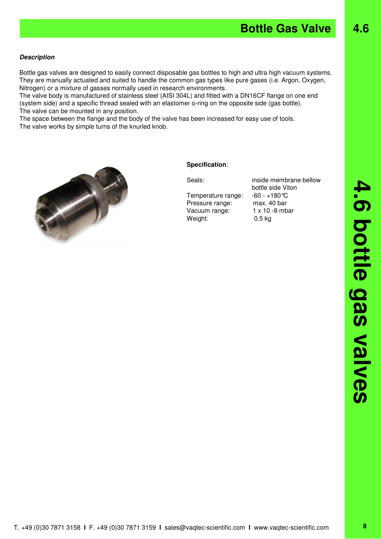**4.6**

### **Description**

Bottle gas valves are designed to easily connect disposable gas bottles to high and ultra high vacuum systems. They are manually actuated and suited to handle the common gas types like pure gases (i.e. Argon, Oxygen, Nitrogen) or a mixture of gasses normally used in research environments.

The valve body is manufactured of stainless steel (AISI 304L) and fitted with a DN16CF flange on one end (system side) and a specific thread sealed with an elastomer o-ring on the opposite side (gas bottle). The valve can be mounted in any position.

The space between the flange and the body of the valve has been increased for easy use of tools. The valve works by simple turns of the knurled knob .



### **Specification** :

Temperature range: -60 - +180°C Pressure range: max. 40 bar Vacuum range: 1 x 10 -8 mbar Weight: 0.5 kg

Seals: inside membrane bellow bottle side Viton